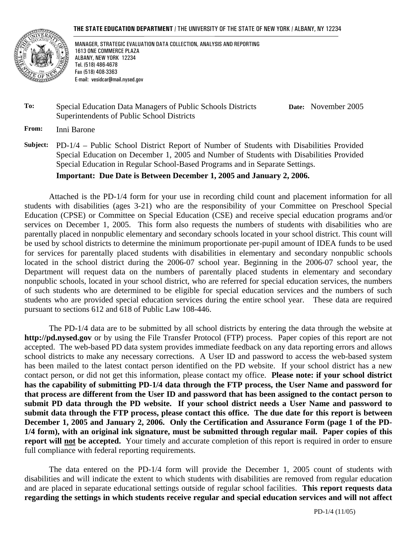#### **THE STATE EDUCATION DEPARTMENT** / THE UNIVERSITY OF THE STATE OF NEW YORK / ALBANY, NY 12234



 MANAGER, STRATEGIC EVALUATION DATA COLLECTION, ANALYSIS AND REPORTING 1613 ONE COMMERCE PLAZA ALBANY, NEW YORK 12234 Tel. (518) 486-4678 Fax (518) 408-3363 E-mail: vesidcar@mail.nysed.gov

### **To:** Special Education Data Managers of Public Schools Districts Superintendents of Public School Districts

**Date:** November 2005

**From:** Inni Barone

**Subject:** PD-1/4 – Public School District Report of Number of Students with Disabilities Provided Special Education on December 1, 2005 and Number of Students with Disabilities Provided Special Education in Regular School-Based Programs and in Separate Settings.

**Important: Due Date is Between December 1, 2005 and January 2, 2006.**

Attached is the PD-1/4 form for your use in recording child count and placement information for all students with disabilities (ages 3-21) who are the responsibility of your Committee on Preschool Special Education (CPSE) or Committee on Special Education (CSE) and receive special education programs and/or services on December 1, 2005. This form also requests the numbers of students with disabilities who are parentally placed in nonpublic elementary and secondary schools located in your school district. This count will be used by school districts to determine the minimum proportionate per-pupil amount of IDEA funds to be used for services for parentally placed students with disabilities in elementary and secondary nonpublic schools located in the school district during the 2006-07 school year. Beginning in the 2006-07 school year, the Department will request data on the numbers of parentally placed students in elementary and secondary nonpublic schools, located in your school district, who are referred for special education services, the numbers of such students who are determined to be eligible for special education services and the numbers of such students who are provided special education services during the entire school year. These data are required pursuant to sections 612 and 618 of Public Law 108-446.

The PD-1/4 data are to be submitted by all school districts by entering the data through the website at **http://pd.nysed.gov** or by using the File Transfer Protocol (FTP) process. Paper copies of this report are not accepted. The web-based PD data system provides immediate feedback on any data reporting errors and allows school districts to make any necessary corrections. A User ID and password to access the web-based system has been mailed to the latest contact person identified on the PD website. If your school district has a new contact person, or did not get this information, please contact my office. **Please note: if your school district has the capability of submitting PD-1/4 data through the FTP process, the User Name and password for that process are different from the User ID and password that has been assigned to the contact person to**  submit PD data through the PD website. If your school district needs a User Name and password to **submit data through the FTP process, please contact this office. The due date for this report is between**  December 1, 2005 and January 2, 2006. Only the Certification and Assurance Form (page 1 of the PD-**1/4 form), with an original ink signature, must be submitted through regular mail. Paper copies of this report will not be accepted.** Your timely and accurate completion of this report is required in order to ensure full compliance with federal reporting requirements.

The data entered on the PD-1/4 form will provide the December 1, 2005 count of students with disabilities and will indicate the extent to which students with disabilities are removed from regular education and are placed in separate educational settings outside of regular school facilities. **This report requests data regarding the settings in which students receive regular and special education services and will not affect**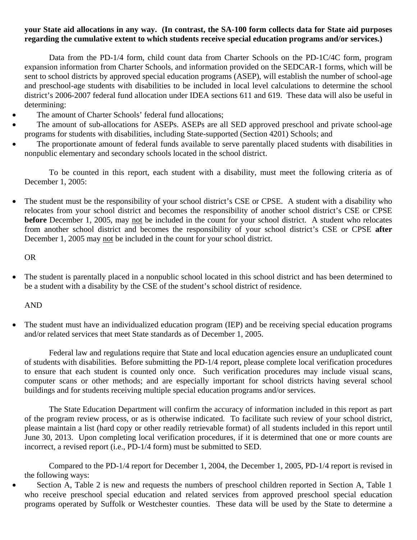### **your State aid allocations in any way. (In contrast, the SA-100 form collects data for State aid purposes regarding the cumulative extent to which students receive special education programs and/or services.)**

Data from the PD-1/4 form, child count data from Charter Schools on the PD-1C/4C form, program expansion information from Charter Schools, and information provided on the SEDCAR-1 forms, which will be sent to school districts by approved special education programs (ASEP), will establish the number of school-age and preschool-age students with disabilities to be included in local level calculations to determine the school district's 2006-2007 federal fund allocation under IDEA sections 611 and 619. These data will also be useful in determining:

- The amount of Charter Schools' federal fund allocations;
- The amount of sub-allocations for ASEPs. ASEPs are all SED approved preschool and private school-age programs for students with disabilities, including State-supported (Section 4201) Schools; and
- The proportionate amount of federal funds available to serve parentally placed students with disabilities in nonpublic elementary and secondary schools located in the school district.

To be counted in this report, each student with a disability, must meet the following criteria as of December 1, 2005:

The student must be the responsibility of your school district's CSE or CPSE. A student with a disability who relocates from your school district and becomes the responsibility of another school district's CSE or CPSE **before** December 1, 2005, may not be included in the count for your school district. A student who relocates from another school district and becomes the responsibility of your school district's CSE or CPSE **after**  December 1, 2005 may not be included in the count for your school district.

OR

• The student is parentally placed in a nonpublic school located in this school district and has been determined to be a student with a disability by the CSE of the student's school district of residence.

AND

• The student must have an individualized education program (IEP) and be receiving special education programs and/or related services that meet State standards as of December 1, 2005.

Federal law and regulations require that State and local education agencies ensure an unduplicated count of students with disabilities. Before submitting the PD-1/4 report, please complete local verification procedures to ensure that each student is counted only once. Such verification procedures may include visual scans, computer scans or other methods; and are especially important for school districts having several school buildings and for students receiving multiple special education programs and/or services.

The State Education Department will confirm the accuracy of information included in this report as part of the program review process, or as is otherwise indicated. To facilitate such review of your school district, please maintain a list (hard copy or other readily retrievable format) of all students included in this report until June 30, 2013. Upon completing local verification procedures, if it is determined that one or more counts are incorrect, a revised report (i.e., PD-1/4 form) must be submitted to SED.

Compared to the PD-1/4 report for December 1, 2004, the December 1, 2005, PD-1/4 report is revised in the following ways:

Section A, Table 2 is new and requests the numbers of preschool children reported in Section A, Table 1 who receive preschool special education and related services from approved preschool special education programs operated by Suffolk or Westchester counties. These data will be used by the State to determine a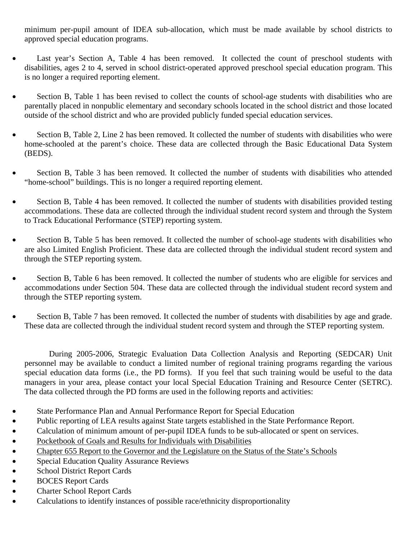minimum per-pupil amount of IDEA sub-allocation, which must be made available by school districts to approved special education programs.

- Last year's Section A, Table 4 has been removed. It collected the count of preschool students with disabilities, ages 2 to 4, served in school district-operated approved preschool special education program. This is no longer a required reporting element.
- Section B, Table 1 has been revised to collect the counts of school-age students with disabilities who are parentally placed in nonpublic elementary and secondary schools located in the school district and those located outside of the school district and who are provided publicly funded special education services.
- Section B, Table 2, Line 2 has been removed. It collected the number of students with disabilities who were home-schooled at the parent's choice. These data are collected through the Basic Educational Data System (BEDS).
- Section B, Table 3 has been removed. It collected the number of students with disabilities who attended "home-school" buildings. This is no longer a required reporting element.
- Section B, Table 4 has been removed. It collected the number of students with disabilities provided testing accommodations. These data are collected through the individual student record system and through the System to Track Educational Performance (STEP) reporting system.
- Section B, Table 5 has been removed. It collected the number of school-age students with disabilities who are also Limited English Proficient. These data are collected through the individual student record system and through the STEP reporting system.
- Section B, Table 6 has been removed. It collected the number of students who are eligible for services and accommodations under Section 504. These data are collected through the individual student record system and through the STEP reporting system.
- Section B, Table 7 has been removed. It collected the number of students with disabilities by age and grade. These data are collected through the individual student record system and through the STEP reporting system.

During 2005-2006, Strategic Evaluation Data Collection Analysis and Reporting (SEDCAR) Unit personnel may be available to conduct a limited number of regional training programs regarding the various special education data forms (i.e., the PD forms). If you feel that such training would be useful to the data managers in your area, please contact your local Special Education Training and Resource Center (SETRC). The data collected through the PD forms are used in the following reports and activities:

- State Performance Plan and Annual Performance Report for Special Education
- Public reporting of LEA results against State targets established in the State Performance Report.
- Calculation of minimum amount of per-pupil IDEA funds to be sub-allocated or spent on services.
- Pocketbook of Goals and Results for Individuals with Disabilities
- Chapter 655 Report to the Governor and the Legislature on the Status of the State's Schools
- Special Education Quality Assurance Reviews
- School District Report Cards
- BOCES Report Cards
- Charter School Report Cards
- Calculations to identify instances of possible race/ethnicity disproportionality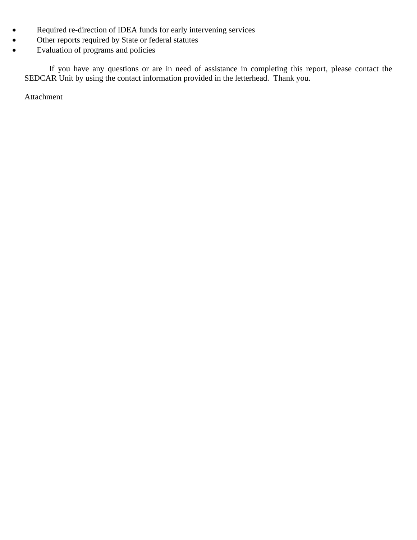- Required re-direction of IDEA funds for early intervening services
- Other reports required by State or federal statutes
- Evaluation of programs and policies

If you have any questions or are in need of assistance in completing this report, please contact the SEDCAR Unit by using the contact information provided in the letterhead. Thank you.

Attachment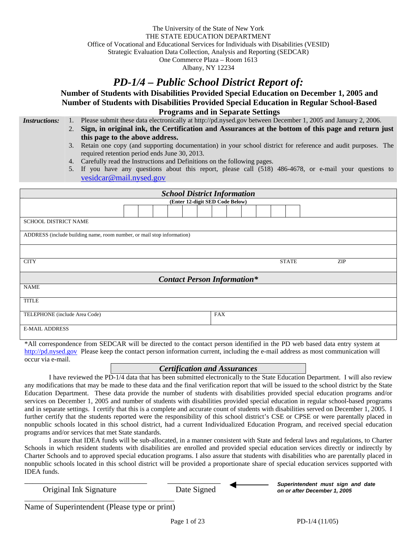The University of the State of New York THE STATE EDUCATION DEPARTMENT Office of Vocational and Educational Services for Individuals with Disabilities (VESID) Strategic Evaluation Data Collection, Analysis and Reporting (SEDCAR) One Commerce Plaza – Room 1613

Albany, NY 12234

# *PD-1/4 – Public School District Report of:*

**Number of Students with Disabilities Provided Special Education on December 1, 2005 and Number of Students with Disabilities Provided Special Education in Regular School-Based Programs and in Separate Settings** 

*Instructions:* 1. Please submit these data electronically at http://pd.nysed.gov between December 1, 2005 and January 2, 2006.

- 2. **Sign, in original ink, the Certification and Assurances at the bottom of this page and return just this page to the above address.**
- 3. Retain one copy (and supporting documentation) in your school district for reference and audit purposes. The required retention period ends June 30, 2013.
- 4. Carefully read the Instructions and Definitions on the following pages.
- 5. If you have any questions about this report, please call (518) 486-4678, or e-mail your questions to vesidcar@mail.nysed.gov

| <b>School District Information</b>                                     |  |                                    |                     |  |
|------------------------------------------------------------------------|--|------------------------------------|---------------------|--|
|                                                                        |  | (Enter 12-digit SED Code Below)    |                     |  |
|                                                                        |  |                                    |                     |  |
| SCHOOL DISTRICT NAME                                                   |  |                                    |                     |  |
| ADDRESS (include building name, room number, or mail stop information) |  |                                    |                     |  |
|                                                                        |  |                                    |                     |  |
| <b>CITY</b>                                                            |  |                                    | <b>STATE</b><br>ZIP |  |
|                                                                        |  | <b>Contact Person Information*</b> |                     |  |
| <b>NAME</b>                                                            |  |                                    |                     |  |
| <b>TITLE</b>                                                           |  |                                    |                     |  |
| TELEPHONE (include Area Code)                                          |  | <b>FAX</b>                         |                     |  |
| <b>E-MAIL ADDRESS</b>                                                  |  |                                    |                     |  |

\*All correspondence from SEDCAR will be directed to the contact person identified in the PD web based data entry system at http://pd.nysed.gov Please keep the contact person information current, including the e-mail address as most communication will occur via e-mail.

#### *Certification and Assurances*

I have reviewed the PD-1/4 data that has been submitted electronically to the State Education Department. I will also review any modifications that may be made to these data and the final verification report that will be issued to the school district by the State Education Department. These data provide the number of students with disabilities provided special education programs and/or services on December 1, 2005 and number of students with disabilities provided special education in regular school-based programs and in separate settings. I certify that this is a complete and accurate count of students with disabilities served on December 1, 2005. I further certify that the students reported were the responsibility of this school district's CSE or CPSE or were parentally placed in nonpublic schools located in this school district, had a current Individualized Education Program, and received special education programs and/or services that met State standards.

I assure that IDEA funds will be sub-allocated, in a manner consistent with State and federal laws and regulations, to Charter Schools in which resident students with disabilities are enrolled and provided special education services directly or indirectly by Charter Schools and to approved special education programs. I also assure that students with disabilities who are parentally placed in nonpublic schools located in this school district will be provided a proportionate share of special education services supported with IDEA funds.

Original Ink Signature Date Signed



*Superintendent must sign and date on or after December 1, 2005*

Name of Superintendent (Please type or print)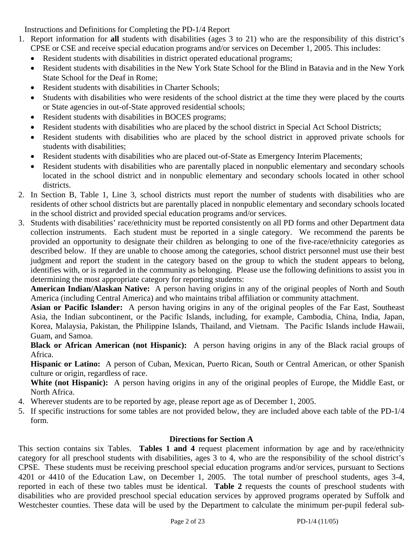Instructions and Definitions for Completing the PD-1/4 Report

- 1. Report information for **all** students with disabilities (ages 3 to 21) who are the responsibility of this district's CPSE or CSE and receive special education programs and/or services on December 1, 2005. This includes:
	- Resident students with disabilities in district operated educational programs;
	- Resident students with disabilities in the New York State School for the Blind in Batavia and in the New York State School for the Deaf in Rome;
	- Resident students with disabilities in Charter Schools;
	- Students with disabilities who were residents of the school district at the time they were placed by the courts or State agencies in out-of-State approved residential schools;
	- Resident students with disabilities in BOCES programs;
	- Resident students with disabilities who are placed by the school district in Special Act School Districts;
	- Resident students with disabilities who are placed by the school district in approved private schools for students with disabilities;
	- Resident students with disabilities who are placed out-of-State as Emergency Interim Placements;
	- Resident students with disabilities who are parentally placed in nonpublic elementary and secondary schools located in the school district and in nonpublic elementary and secondary schools located in other school districts.
- 2. In Section B, Table 1, Line 3, school districts must report the number of students with disabilities who are residents of other school districts but are parentally placed in nonpublic elementary and secondary schools located in the school district and provided special education programs and/or services.
- 3. Students with disabilities' race/ethnicity must be reported consistently on all PD forms and other Department data collection instruments. Each student must be reported in a single category. We recommend the parents be provided an opportunity to designate their children as belonging to one of the five-race/ethnicity categories as described below. If they are unable to choose among the categories, school district personnel must use their best judgment and report the student in the category based on the group to which the student appears to belong, identifies with, or is regarded in the community as belonging. Please use the following definitions to assist you in determining the most appropriate category for reporting students:

**American Indian/Alaskan Native:** A person having origins in any of the original peoples of North and South America (including Central America) and who maintains tribal affiliation or community attachment.

**Asian or Pacific Islander:** A person having origins in any of the original peoples of the Far East, Southeast Asia, the Indian subcontinent, or the Pacific Islands, including, for example, Cambodia, China, India, Japan, Korea, Malaysia, Pakistan, the Philippine Islands, Thailand, and Vietnam. The Pacific Islands include Hawaii, Guam, and Samoa.

**Black or African American (not Hispanic):** A person having origins in any of the Black racial groups of Africa.

**Hispanic or Latino:** A person of Cuban, Mexican, Puerto Rican, South or Central American, or other Spanish culture or origin, regardless of race.

**White (not Hispanic):** A person having origins in any of the original peoples of Europe, the Middle East, or North Africa.

- 4. Wherever students are to be reported by age, please report age as of December 1, 2005.
- 5. If specific instructions for some tables are not provided below, they are included above each table of the PD-1/4 form.

# **Directions for Section A**

This section contains six Tables. **Tables 1 and 4** request placement information by age and by race/ethnicity category for all preschool students with disabilities, ages 3 to 4, who are the responsibility of the school district's CPSE. These students must be receiving preschool special education programs and/or services, pursuant to Sections 4201 or 4410 of the Education Law, on December 1, 2005. The total number of preschool students, ages 3-4, reported in each of these two tables must be identical. **Table 2** requests the counts of preschool students with disabilities who are provided preschool special education services by approved programs operated by Suffolk and Westchester counties. These data will be used by the Department to calculate the minimum per-pupil federal sub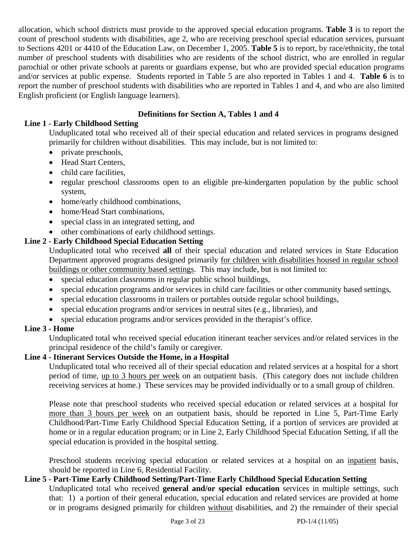allocation, which school districts must provide to the approved special education programs. **Table 3** is to report the count of preschool students with disabilities, age 2, who are receiving preschool special education services, pursuant to Sections 4201 or 4410 of the Education Law, on December 1, 2005. **Table 5** is to report, by race/ethnicity, the total number of preschool students with disabilities who are residents of the school district, who are enrolled in regular parochial or other private schools at parents or guardians expense, but who are provided special education programs and/or services at public expense. Students reported in Table 5 are also reported in Tables 1 and 4. **Table 6** is to report the number of preschool students with disabilities who are reported in Tables 1 and 4, and who are also limited English proficient (or English language learners).

# **Definitions for Section A, Tables 1 and 4**

# **Line 1 - Early Childhood Setting**

Unduplicated total who received all of their special education and related services in programs designed primarily for children without disabilities. This may include, but is not limited to:

- private preschools,
- Head Start Centers.
- child care facilities,
- regular preschool classrooms open to an eligible pre-kindergarten population by the public school system,
- home/early childhood combinations,
- home/Head Start combinations,
- special class in an integrated setting, and
- other combinations of early childhood settings.

# **Line 2 - Early Childhood Special Education Setting**

Unduplicated total who received **all** of their special education and related services in State Education Department approved programs designed primarily for children with disabilities housed in regular school buildings or other community based settings. This may include, but is not limited to:

- special education classrooms in regular public school buildings,
- special education programs and/or services in child care facilities or other community based settings,
- special education classrooms in trailers or portables outside regular school buildings,
- special education programs and/or services in neutral sites (e.g., libraries), and
- special education programs and/or services provided in the therapist's office.

# **Line 3 - Home**

Unduplicated total who received special education itinerant teacher services and/or related services in the principal residence of the child's family or caregiver.

# **Line 4 - Itinerant Services Outside the Home, in a Hospital**

Unduplicated total who received all of their special education and related services at a hospital for a short period of time, up to 3 hours per week on an outpatient basis. (This category does not include children receiving services at home.) These services may be provided individually or to a small group of children.

Please note that preschool students who received special education or related services at a hospital for more than 3 hours per week on an outpatient basis, should be reported in Line 5, Part-Time Early Childhood/Part-Time Early Childhood Special Education Setting, if a portion of services are provided at home or in a regular education program; or in Line 2, Early Childhood Special Education Setting, if all the special education is provided in the hospital setting.

Preschool students receiving special education or related services at a hospital on an inpatient basis, should be reported in Line 6, Residential Facility.

# **Line 5 - Part-Time Early Childhood Setting/Part-Time Early Childhood Special Education Setting**

Unduplicated total who received **general and/or special education** services in multiple settings, such that: 1) a portion of their general education, special education and related services are provided at home or in programs designed primarily for children without disabilities, and 2) the remainder of their special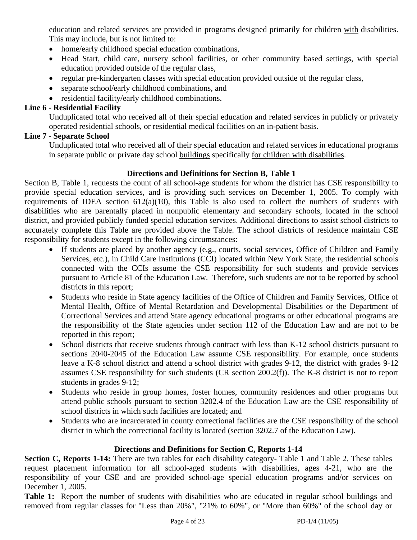education and related services are provided in programs designed primarily for children with disabilities. This may include, but is not limited to:

- home/early childhood special education combinations,
- Head Start, child care, nursery school facilities, or other community based settings, with special education provided outside of the regular class,
- regular pre-kindergarten classes with special education provided outside of the regular class,
- separate school/early childhood combinations, and
- residential facility/early childhood combinations.

# **Line 6 - Residential Facility**

Unduplicated total who received all of their special education and related services in publicly or privately operated residential schools, or residential medical facilities on an in-patient basis.

# **Line 7 - Separate School**

Unduplicated total who received all of their special education and related services in educational programs in separate public or private day school buildings specifically for children with disabilities.

# **Directions and Definitions for Section B, Table 1**

Section B, Table 1, requests the count of all school-age students for whom the district has CSE responsibility to provide special education services, and is providing such services on December 1, 2005. To comply with requirements of IDEA section 612(a)(10), this Table is also used to collect the numbers of students with disabilities who are parentally placed in nonpublic elementary and secondary schools, located in the school district, and provided publicly funded special education services. Additional directions to assist school districts to accurately complete this Table are provided above the Table. The school districts of residence maintain CSE responsibility for students except in the following circumstances:

- If students are placed by another agency (e.g., courts, social services, Office of Children and Family Services, etc.), in Child Care Institutions (CCI) located within New York State, the residential schools connected with the CCIs assume the CSE responsibility for such students and provide services pursuant to Article 81 of the Education Law. Therefore, such students are not to be reported by school districts in this report;
- Students who reside in State agency facilities of the Office of Children and Family Services, Office of Mental Health, Office of Mental Retardation and Developmental Disabilities or the Department of Correctional Services and attend State agency educational programs or other educational programs are the responsibility of the State agencies under section 112 of the Education Law and are not to be reported in this report;
- School districts that receive students through contract with less than K-12 school districts pursuant to sections 2040-2045 of the Education Law assume CSE responsibility. For example, once students leave a K-8 school district and attend a school district with grades 9-12, the district with grades 9-12 assumes CSE responsibility for such students (CR section 200.2(f)). The K-8 district is not to report students in grades 9-12;
- Students who reside in group homes, foster homes, community residences and other programs but attend public schools pursuant to section 3202.4 of the Education Law are the CSE responsibility of school districts in which such facilities are located; and
- Students who are incarcerated in county correctional facilities are the CSE responsibility of the school district in which the correctional facility is located (section 3202.7 of the Education Law).

# **Directions and Definitions for Section C, Reports 1-14**

**Section C, Reports 1-14:** There are two tables for each disability category- Table 1 and Table 2. These tables request placement information for all school-aged students with disabilities, ages 4-21, who are the responsibility of your CSE and are provided school-age special education programs and/or services on December 1, 2005.

**Table 1:** Report the number of students with disabilities who are educated in regular school buildings and removed from regular classes for "Less than 20%", "21% to 60%", or "More than 60%" of the school day or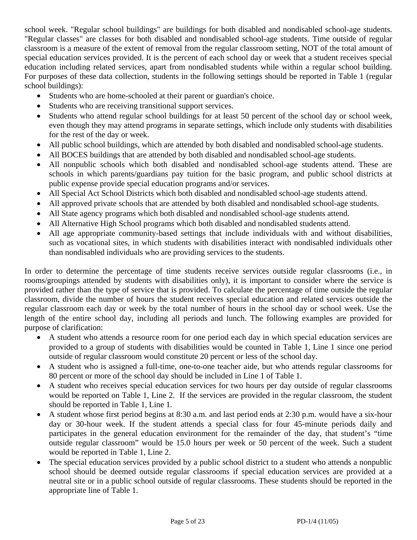school week. "Regular school buildings" are buildings for both disabled and nondisabled school-age students. "Regular classes" are classes for both disabled and nondisabled school-age students. Time outside of regular classroom is a measure of the extent of removal from the regular classroom setting, NOT of the total amount of special education services provided. It is the percent of each school day or week that a student receives special education including related services, apart from nondisabled students while within a regular school building. For purposes of these data collection, students in the following settings should be reported in Table 1 (regular school buildings):

- Students who are home-schooled at their parent or guardian's choice.
- Students who are receiving transitional support services.
- Students who attend regular school buildings for at least 50 percent of the school day or school week, even though they may attend programs in separate settings, which include only students with disabilities for the rest of the day or week.
- All public school buildings, which are attended by both disabled and nondisabled school-age students.
- All BOCES buildings that are attended by both disabled and nondisabled school-age students.
- All nonpublic schools which both disabled and nondisabled school-age students attend. These are schools in which parents/guardians pay tuition for the basic program, and public school districts at public expense provide special education programs and/or services.
- All Special Act School Districts which both disabled and nondisabled school-age students attend.
- All approved private schools that are attended by both disabled and nondisabled school-age students.
- All State agency programs which both disabled and nondisabled school-age students attend.
- All Alternative High School programs which both disabled and nondisabled students attend.
- All age appropriate community-based settings that include individuals with and without disabilities, such as vocational sites, in which students with disabilities interact with nondisabled individuals other than nondisabled individuals who are providing services to the students.

In order to determine the percentage of time students receive services outside regular classrooms (i.e., in rooms/groupings attended by students with disabilities only), it is important to consider where the service is provided rather than the type of service that is provided. To calculate the percentage of time outside the regular classroom, divide the number of hours the student receives special education and related services outside the regular classroom each day or week by the total number of hours in the school day or school week. Use the length of the entire school day, including all periods and lunch. The following examples are provided for purpose of clarification:

- A student who attends a resource room for one period each day in which special education services are provided to a group of students with disabilities would be counted in Table 1, Line 1 since one period outside of regular classroom would constitute 20 percent or less of the school day.
- A student who is assigned a full-time, one-to-one teacher aide, but who attends regular classrooms for 80 percent or more of the school day should be included in Line 1 of Table 1.
- A student who receives special education services for two hours per day outside of regular classrooms would be reported on Table 1, Line 2. If the services are provided in the regular classroom, the student should be reported in Table 1, Line 1.
- A student whose first period begins at 8:30 a.m. and last period ends at 2:30 p.m. would have a six-hour day or 30-hour week. If the student attends a special class for four 45-minute periods daily and participates in the general education environment for the remainder of the day, that student's "time outside regular classroom" would be 15.0 hours per week or 50 percent of the week. Such a student would be reported in Table 1, Line 2.
- The special education services provided by a public school district to a student who attends a nonpublic school should be deemed outside regular classrooms if special education services are provided at a neutral site or in a public school outside of regular classrooms. These students should be reported in the appropriate line of Table 1.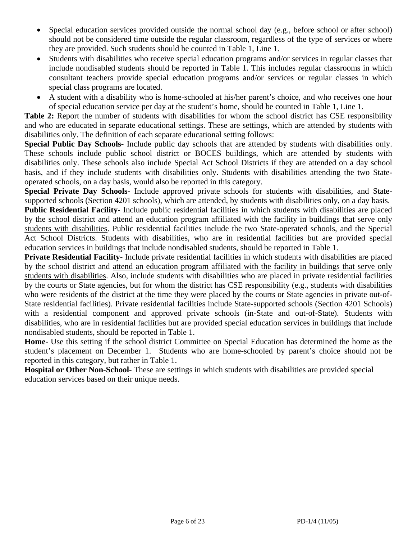- Special education services provided outside the normal school day (e.g., before school or after school) should not be considered time outside the regular classroom, regardless of the type of services or where they are provided. Such students should be counted in Table 1, Line 1.
- Students with disabilities who receive special education programs and/or services in regular classes that include nondisabled students should be reported in Table 1. This includes regular classrooms in which consultant teachers provide special education programs and/or services or regular classes in which special class programs are located.
- A student with a disability who is home-schooled at his/her parent's choice, and who receives one hour of special education service per day at the student's home, should be counted in Table 1, Line 1.

**Table 2:** Report the number of students with disabilities for whom the school district has CSE responsibility and who are educated in separate educational settings. These are settings, which are attended by students with disabilities only. The definition of each separate educational setting follows:

**Special Public Day Schools-** Include public day schools that are attended by students with disabilities only. These schools include public school district or BOCES buildings, which are attended by students with disabilities only. These schools also include Special Act School Districts if they are attended on a day school basis, and if they include students with disabilities only. Students with disabilities attending the two Stateoperated schools, on a day basis, would also be reported in this category.

**Special Private Day Schools-** Include approved private schools for students with disabilities, and Statesupported schools (Section 4201 schools), which are attended, by students with disabilities only, on a day basis. **Public Residential Facility-** Include public residential facilities in which students with disabilities are placed by the school district and attend an education program affiliated with the facility in buildings that serve only students with disabilities. Public residential facilities include the two State-operated schools, and the Special Act School Districts. Students with disabilities, who are in residential facilities but are provided special education services in buildings that include nondisabled students, should be reported in Table 1.

**Private Residential Facility-** Include private residential facilities in which students with disabilities are placed by the school district and attend an education program affiliated with the facility in buildings that serve only students with disabilities. Also, include students with disabilities who are placed in private residential facilities by the courts or State agencies, but for whom the district has CSE responsibility (e.g., students with disabilities who were residents of the district at the time they were placed by the courts or State agencies in private out-of-State residential facilities). Private residential facilities include State-supported schools (Section 4201 Schools) with a residential component and approved private schools (in-State and out-of-State). Students with disabilities, who are in residential facilities but are provided special education services in buildings that include nondisabled students, should be reported in Table 1.

**Home**- Use this setting if the school district Committee on Special Education has determined the home as the student's placement on December 1. Students who are home-schooled by parent's choice should not be reported in this category, but rather in Table 1.

**Hospital or Other Non-School-** These are settings in which students with disabilities are provided special education services based on their unique needs.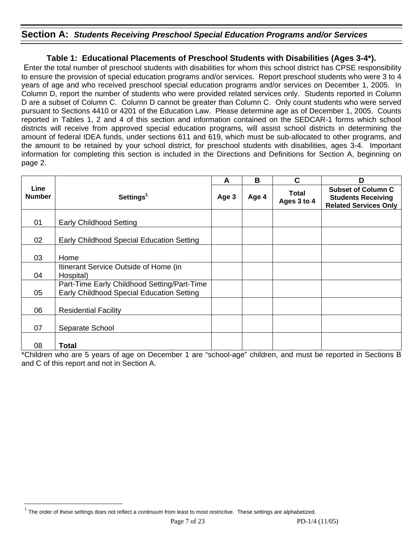# **Section A:** *Students Receiving Preschool Special Education Programs and/or Services*

# **Table 1: Educational Placements of Preschool Students with Disabilities (Ages 3-4\*).**

 Enter the total number of preschool students with disabilities for whom this school district has CPSE responsibility to ensure the provision of special education programs and/or services. Report preschool students who were 3 to 4 years of age and who received preschool special education programs and/or services on December 1, 2005. In Column D, report the number of students who were provided related services only. Students reported in Column D are a subset of Column C. Column D cannot be greater than Column C. Only count students who were served pursuant to Sections 4410 or 4201 of the Education Law. Please determine age as of December 1, 2005. Counts reported in Tables 1, 2 and 4 of this section and information contained on the SEDCAR-1 forms which school districts will receive from approved special education programs, will assist school districts in determining the amount of federal IDEA funds, under sections 611 and 619, which must be sub-allocated to other programs, and the amount to be retained by your school district, for preschool students with disabilities, ages 3-4. Important information for completing this section is included in the Directions and Definitions for Section A, beginning on page 2.

|                       |                                                                                          | A     | в     | C                           | D                                                                                      |
|-----------------------|------------------------------------------------------------------------------------------|-------|-------|-----------------------------|----------------------------------------------------------------------------------------|
| Line<br><b>Number</b> | Settings <sup>1</sup>                                                                    | Age 3 | Age 4 | <b>Total</b><br>Ages 3 to 4 | <b>Subset of Column C</b><br><b>Students Receiving</b><br><b>Related Services Only</b> |
| 01                    | <b>Early Childhood Setting</b>                                                           |       |       |                             |                                                                                        |
| 02                    | Early Childhood Special Education Setting                                                |       |       |                             |                                                                                        |
| 03                    | Home                                                                                     |       |       |                             |                                                                                        |
| 04                    | Itinerant Service Outside of Home (in<br>Hospital)                                       |       |       |                             |                                                                                        |
| 05                    | Part-Time Early Childhood Setting/Part-Time<br>Early Childhood Special Education Setting |       |       |                             |                                                                                        |
| 06                    | <b>Residential Facility</b>                                                              |       |       |                             |                                                                                        |
| 07                    | Separate School                                                                          |       |       |                             |                                                                                        |
| 08                    | <b>Total</b>                                                                             |       |       |                             |                                                                                        |

\*Children who are 5 years of age on December 1 are "school-age" children, and must be reported in Sections B and C of this report and not in Section A.

 $\overline{a}$  $1$  The order of these settings does not reflect a continuum from least to most restrictive. These settings are alphabetized.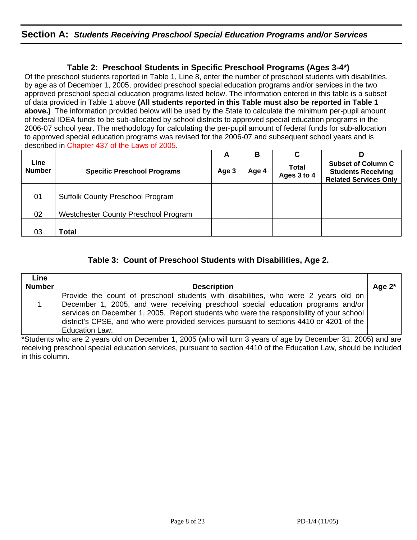# **Section A:** *Students Receiving Preschool Special Education Programs and/or Services*

# **Table 2: Preschool Students in Specific Preschool Programs (Ages 3-4\*)**

Of the preschool students reported in Table 1, Line 8, enter the number of preschool students with disabilities, by age as of December 1, 2005, provided preschool special education programs and/or services in the two approved preschool special education programs listed below. The information entered in this table is a subset of data provided in Table 1 above **(All students reported in this Table must also be reported in Table 1 above.)** The information provided below will be used by the State to calculate the minimum per-pupil amount of federal IDEA funds to be sub-allocated by school districts to approved special education programs in the 2006-07 school year. The methodology for calculating the per-pupil amount of federal funds for sub-allocation to approved special education programs was revised for the 2006-07 and subsequent school years and is described in Chapter 437 of the Laws of 2005.

|                       |                                         | A | В     | С                           |                                                                                        |
|-----------------------|-----------------------------------------|---|-------|-----------------------------|----------------------------------------------------------------------------------------|
| Line<br><b>Number</b> | <b>Specific Preschool Programs</b>      |   | Age 4 | <b>Total</b><br>Ages 3 to 4 | <b>Subset of Column C</b><br><b>Students Receiving</b><br><b>Related Services Only</b> |
|                       |                                         |   |       |                             |                                                                                        |
| 01                    | <b>Suffolk County Preschool Program</b> |   |       |                             |                                                                                        |
|                       |                                         |   |       |                             |                                                                                        |
| 02                    | Westchester County Preschool Program    |   |       |                             |                                                                                        |
|                       |                                         |   |       |                             |                                                                                        |
| 03                    | Total                                   |   |       |                             |                                                                                        |

# **Table 3: Count of Preschool Students with Disabilities, Age 2.**

| Line          |                                                                                                                                                                                                                                                                                                                                                                |           |
|---------------|----------------------------------------------------------------------------------------------------------------------------------------------------------------------------------------------------------------------------------------------------------------------------------------------------------------------------------------------------------------|-----------|
| <b>Number</b> | <b>Description</b>                                                                                                                                                                                                                                                                                                                                             | Age $2^*$ |
|               | Provide the count of preschool students with disabilities, who were 2 years old on<br>December 1, 2005, and were receiving preschool special education programs and/or<br>services on December 1, 2005. Report students who were the responsibility of your school<br>district's CPSE, and who were provided services pursuant to sections 4410 or 4201 of the |           |
|               | <b>Education Law.</b>                                                                                                                                                                                                                                                                                                                                          |           |

\*Students who are 2 years old on December 1, 2005 (who will turn 3 years of age by December 31, 2005) and are receiving preschool special education services, pursuant to section 4410 of the Education Law, should be included in this column.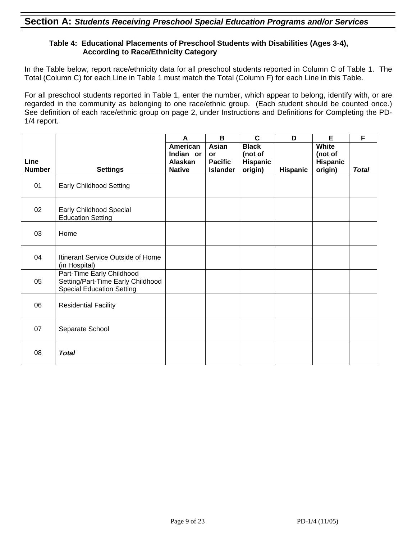### **Table 4: Educational Placements of Preschool Students with Disabilities (Ages 3-4), According to Race/Ethnicity Category**

In the Table below, report race/ethnicity data for all preschool students reported in Column C of Table 1. The Total (Column C) for each Line in Table 1 must match the Total (Column F) for each Line in this Table.

For all preschool students reported in Table 1, enter the number, which appear to belong, identify with, or are regarded in the community as belonging to one race/ethnic group. (Each student should be counted once.) See definition of each race/ethnic group on page 2, under Instructions and Definitions for Completing the PD-1/4 report.

|               |                                                                                                    | A             | B               | $\mathbf{C}$ | D               | E               | F            |
|---------------|----------------------------------------------------------------------------------------------------|---------------|-----------------|--------------|-----------------|-----------------|--------------|
|               |                                                                                                    | American      | Asian           | <b>Black</b> |                 | White           |              |
|               |                                                                                                    | Indian or     | <b>or</b>       | (not of      |                 | (not of         |              |
| Line          |                                                                                                    | Alaskan       | <b>Pacific</b>  | Hispanic     |                 | <b>Hispanic</b> |              |
| <b>Number</b> | <b>Settings</b>                                                                                    | <b>Native</b> | <b>Islander</b> | origin)      | <b>Hispanic</b> | origin)         | <b>Total</b> |
| 01            | <b>Early Childhood Setting</b>                                                                     |               |                 |              |                 |                 |              |
| 02            | Early Childhood Special<br><b>Education Setting</b>                                                |               |                 |              |                 |                 |              |
| 03            | Home                                                                                               |               |                 |              |                 |                 |              |
| 04            | Itinerant Service Outside of Home<br>(in Hospital)                                                 |               |                 |              |                 |                 |              |
| 05            | Part-Time Early Childhood<br>Setting/Part-Time Early Childhood<br><b>Special Education Setting</b> |               |                 |              |                 |                 |              |
| 06            | <b>Residential Facility</b>                                                                        |               |                 |              |                 |                 |              |
| 07            | Separate School                                                                                    |               |                 |              |                 |                 |              |
| 08            | <b>Total</b>                                                                                       |               |                 |              |                 |                 |              |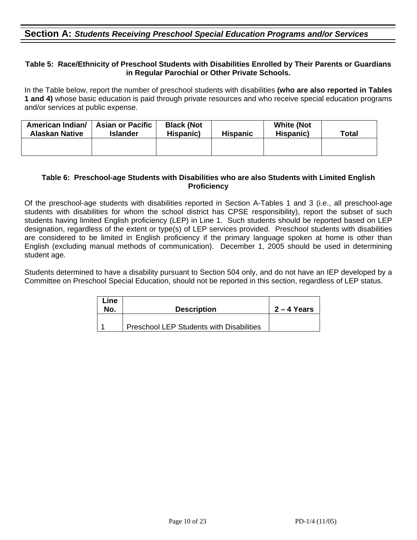# **Section A:** *Students Receiving Preschool Special Education Programs and/or Services*

#### **Table 5: Race/Ethnicity of Preschool Students with Disabilities Enrolled by Their Parents or Guardians in Regular Parochial or Other Private Schools.**

In the Table below, report the number of preschool students with disabilities **(who are also reported in Tables 1 and 4)** whose basic education is paid through private resources and who receive special education programs and/or services at public expense.

| American Indian/<br><b>Alaskan Native</b> | <b>Asian or Pacific</b><br>Islander | <b>Black (Not</b><br>Hispanic) | <b>Hispanic</b> | <b>White (Not</b><br>Hispanic) | <b>Total</b> |
|-------------------------------------------|-------------------------------------|--------------------------------|-----------------|--------------------------------|--------------|
|                                           |                                     |                                |                 |                                |              |

#### **Table 6: Preschool-age Students with Disabilities who are also Students with Limited English Proficiency**

Of the preschool-age students with disabilities reported in Section A-Tables 1 and 3 (i.e., all preschool-age students with disabilities for whom the school district has CPSE responsibility), report the subset of such students having limited English proficiency (LEP) in Line 1. Such students should be reported based on LEP designation, regardless of the extent or type(s) of LEP services provided. Preschool students with disabilities are considered to be limited in English proficiency if the primary language spoken at home is other than English (excluding manual methods of communication). December 1, 2005 should be used in determining student age.

Students determined to have a disability pursuant to Section 504 only, and do not have an IEP developed by a Committee on Preschool Special Education, should not be reported in this section, regardless of LEP status.

| Line<br>No. | <b>Description</b>                              | $2 - 4$ Years |
|-------------|-------------------------------------------------|---------------|
|             | <b>Preschool LEP Students with Disabilities</b> |               |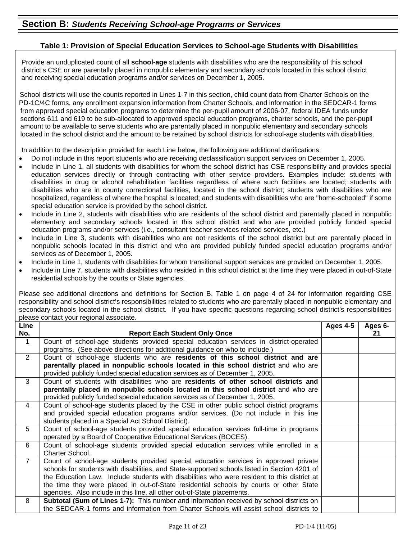#### **Table 1: Provision of Special Education Services to School-age Students with Disabilities**

Provide an unduplicated count of all **school-age** students with disabilities who are the responsibility of this school district's CSE or are parentally placed in nonpublic elementary and secondary schools located in this school district and receiving special education programs and/or services on December 1, 2005.

 School districts will use the counts reported in Lines 1-7 in this section, child count data from Charter Schools on the PD-1C/4C forms, any enrollment expansion information from Charter Schools, and information in the SEDCAR-1 forms from approved special education programs to determine the per-pupil amount of 2006-07, federal IDEA funds under sections 611 and 619 to be sub-allocated to approved special education programs, charter schools, and the per-pupil amount to be available to serve students who are parentally placed in nonpublic elementary and secondary schools located in the school district and the amount to be retained by school districts for school-age students with disabilities.

In addition to the description provided for each Line below, the following are additional clarifications:

- Do not include in this report students who are receiving declassification support services on December 1, 2005.
- Include in Line 1, all students with disabilities for whom the school district has CSE responsibility and provides special education services directly or through contracting with other service providers. Examples include: students with disabilities in drug or alcohol rehabilitation facilities regardless of where such facilities are located; students with disabilities who are in county correctional facilities, located in the school district; students with disabilities who are hospitalized, regardless of where the hospital is located; and students with disabilities who are "home-schooled" if some special education service is provided by the school district.
- Include in Line 2, students with disabilities who are residents of the school district and parentally placed in nonpublic elementary and secondary schools located in this school district and who are provided publicly funded special education programs and/or services (i.e., consultant teacher services related services, etc.)
- Include in Line 3, students with disabilities who are not residents of the school district but are parentally placed in nonpublic schools located in this district and who are provided publicly funded special education programs and/or services as of December 1, 2005.
- Include in Line 1, students with disabilities for whom transitional support services are provided on December 1, 2005.
- Include in Line 7, students with disabilities who resided in this school district at the time they were placed in out-of-State residential schools by the courts or State agencies.

Please see additional directions and definitions for Section B, Table 1 on page 4 of 24 for information regarding CSE responsibility and school district's responsibilities related to students who are parentally placed in nonpublic elementary and secondary schools located in the school district. If you have specific questions regarding school district's responsibilities please contact your regional associate.

| Line           |                                                                                               | Ages 4-5 | Ages 6- |
|----------------|-----------------------------------------------------------------------------------------------|----------|---------|
| No.            | <b>Report Each Student Only Once</b>                                                          |          | 21      |
| 1              | Count of school-age students provided special education services in district-operated         |          |         |
|                | programs. (See above directions for additional guidance on who to include.)                   |          |         |
| $\overline{2}$ | Count of school-age students who are residents of this school district and are                |          |         |
|                | parentally placed in nonpublic schools located in this school district and who are            |          |         |
|                | provided publicly funded special education services as of December 1, 2005.                   |          |         |
| 3              | Count of students with disabilities who are residents of other school districts and           |          |         |
|                | parentally placed in nonpublic schools located in this school district and who are            |          |         |
|                | provided publicly funded special education services as of December 1, 2005.                   |          |         |
| $\overline{4}$ | Count of school-age students placed by the CSE in other public school district programs       |          |         |
|                | and provided special education programs and/or services. (Do not include in this line         |          |         |
|                | students placed in a Special Act School District).                                            |          |         |
| 5              | Count of school-age students provided special education services full-time in programs        |          |         |
|                | operated by a Board of Cooperative Educational Services (BOCES).                              |          |         |
| 6              | Count of school-age students provided special education services while enrolled in a          |          |         |
|                | Charter School.                                                                               |          |         |
| $\overline{7}$ | Count of school-age students provided special education services in approved private          |          |         |
|                | schools for students with disabilities, and State-supported schools listed in Section 4201 of |          |         |
|                | the Education Law. Include students with disabilities who were resident to this district at   |          |         |
|                | the time they were placed in out-of-State residential schools by courts or other State        |          |         |
|                | agencies. Also include in this line, all other out-of-State placements.                       |          |         |
| 8              | Subtotal (Sum of Lines 1-7): This number and information received by school districts on      |          |         |
|                | the SEDCAR-1 forms and information from Charter Schools will assist school districts to       |          |         |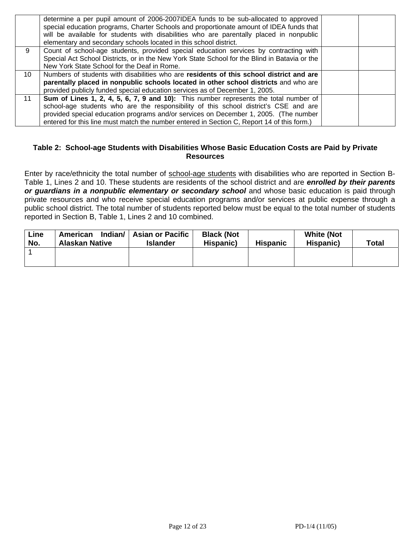|          | determine a per pupil amount of 2006-2007IDEA funds to be sub-allocated to approved<br>special education programs, Charter Schools and proportionate amount of IDEA funds that<br>will be available for students with disabilities who are parentally placed in nonpublic<br>elementary and secondary schools located in this school district. |  |
|----------|------------------------------------------------------------------------------------------------------------------------------------------------------------------------------------------------------------------------------------------------------------------------------------------------------------------------------------------------|--|
| 9        | Count of school-age students, provided special education services by contracting with                                                                                                                                                                                                                                                          |  |
|          | Special Act School Districts, or in the New York State School for the Blind in Batavia or the                                                                                                                                                                                                                                                  |  |
|          | New York State School for the Deaf in Rome.                                                                                                                                                                                                                                                                                                    |  |
| $10^{-}$ | Numbers of students with disabilities who are residents of this school district and are                                                                                                                                                                                                                                                        |  |
|          | parentally placed in nonpublic schools located in other school districts and who are                                                                                                                                                                                                                                                           |  |
|          | provided publicly funded special education services as of December 1, 2005.                                                                                                                                                                                                                                                                    |  |
| 11       | Sum of Lines 1, 2, 4, 5, 6, 7, 9 and 10): This number represents the total number of                                                                                                                                                                                                                                                           |  |
|          | school-age students who are the responsibility of this school district's CSE and are                                                                                                                                                                                                                                                           |  |
|          | provided special education programs and/or services on December 1, 2005. (The number                                                                                                                                                                                                                                                           |  |
|          | entered for this line must match the number entered in Section C, Report 14 of this form.)                                                                                                                                                                                                                                                     |  |

#### **Table 2: School-age Students with Disabilities Whose Basic Education Costs are Paid by Private Resources**

Enter by race/ethnicity the total number of school-age students with disabilities who are reported in Section B-Table 1, Lines 2 and 10. These students are residents of the school district and are *enrolled by their parents or guardians in a nonpublic elementary or secondary school* and whose basic education is paid through private resources and who receive special education programs and/or services at public expense through a public school district. The total number of students reported below must be equal to the total number of students reported in Section B, Table 1, Lines 2 and 10 combined.

| Line<br>No. | American<br><b>Alaskan Native</b> | Indian/   Asian or Pacific<br><b>Islander</b> | <b>Black (Not</b><br>Hispanic) | <b>Hispanic</b> | <b>White (Not</b><br>Hispanic) | <b>Total</b> |
|-------------|-----------------------------------|-----------------------------------------------|--------------------------------|-----------------|--------------------------------|--------------|
|             |                                   |                                               |                                |                 |                                |              |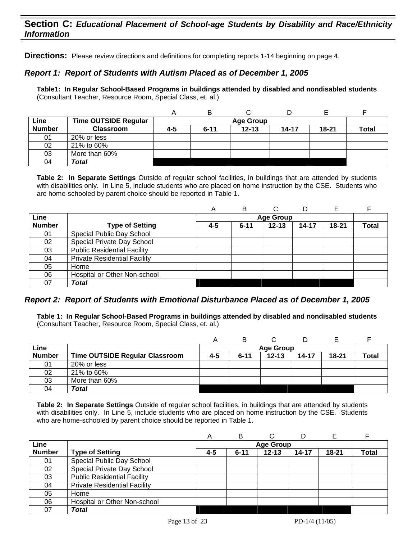# **Section C:** *Educational Placement of School-age Students by Disability and Race/Ethnicity Information*

**Directions:** Please review directions and definitions for completing reports 1-14 beginning on page 4.

### *Report 1: Report of Students with Autism Placed as of December 1, 2005*

**Table1: In Regular School-Based Programs in buildings attended by disabled and nondisabled students**  (Consultant Teacher, Resource Room, Special Class, et. al.)

|               |                             | A   | В                |           |           |           |              |  |
|---------------|-----------------------------|-----|------------------|-----------|-----------|-----------|--------------|--|
| Line          | <b>Time OUTSIDE Regular</b> |     | <b>Age Group</b> |           |           |           |              |  |
| <b>Number</b> | <b>Classroom</b>            | 4-5 | $6 - 11$         | $12 - 13$ | $14 - 17$ | $18 - 21$ | <b>Total</b> |  |
| 01            | 20% or less                 |     |                  |           |           |           |              |  |
| 02            | 21% to 60%                  |     |                  |           |           |           |              |  |
| 03            | More than 60%               |     |                  |           |           |           |              |  |
| 04            | <b>Total</b>                |     |                  |           |           |           |              |  |

**Table 2: In Separate Settings** Outside of regular school facilities, in buildings that are attended by students with disabilities only. In Line 5, include students who are placed on home instruction by the CSE. Students who are home-schooled by parent choice should be reported in Table 1.

|               |                                     | Α   | в        |                  |       |           |       |
|---------------|-------------------------------------|-----|----------|------------------|-------|-----------|-------|
| Line          |                                     |     |          | <b>Age Group</b> |       |           |       |
| <b>Number</b> | <b>Type of Setting</b>              | 4-5 | $6 - 11$ | $12 - 13$        | 14-17 | $18 - 21$ | Total |
| 01            | Special Public Day School           |     |          |                  |       |           |       |
| 02            | Special Private Day School          |     |          |                  |       |           |       |
| 03            | <b>Public Residential Facility</b>  |     |          |                  |       |           |       |
| 04            | <b>Private Residential Facility</b> |     |          |                  |       |           |       |
| 05            | Home                                |     |          |                  |       |           |       |
| 06            | Hospital or Other Non-school        |     |          |                  |       |           |       |
| 07            | <b>Total</b>                        |     |          |                  |       |           |       |

#### *Report 2: Report of Students with Emotional Disturbance Placed as of December 1, 2005*

**Table 1: In Regular School-Based Programs in buildings attended by disabled and nondisabled students**  (Consultant Teacher, Resource Room, Special Class, et. al.)

| Line          |                                |     |          | <b>Age Group</b> |           |           |              |
|---------------|--------------------------------|-----|----------|------------------|-----------|-----------|--------------|
| <b>Number</b> | Time OUTSIDE Regular Classroom | 4-5 | $6 - 11$ | $12 - 13$        | $14 - 17$ | $18 - 21$ | <b>Total</b> |
| 01            | 20% or less                    |     |          |                  |           |           |              |
| 02            | 21% to 60%                     |     |          |                  |           |           |              |
| 03            | More than 60%                  |     |          |                  |           |           |              |
| 04            | Total                          |     |          |                  |           |           |              |

|               |                                     | A       | в        |                  | D         | E         |              |
|---------------|-------------------------------------|---------|----------|------------------|-----------|-----------|--------------|
| Line          |                                     |         |          | <b>Age Group</b> |           |           |              |
| <b>Number</b> | <b>Type of Setting</b>              | $4 - 5$ | $6 - 11$ | $12 - 13$        | $14 - 17$ | $18 - 21$ | <b>Total</b> |
| 01            | Special Public Day School           |         |          |                  |           |           |              |
| 02            | Special Private Day School          |         |          |                  |           |           |              |
| 03            | <b>Public Residential Facility</b>  |         |          |                  |           |           |              |
| 04            | <b>Private Residential Facility</b> |         |          |                  |           |           |              |
| 05            | Home                                |         |          |                  |           |           |              |
| 06            | Hospital or Other Non-school        |         |          |                  |           |           |              |
| 07            | <b>Total</b>                        |         |          |                  |           |           |              |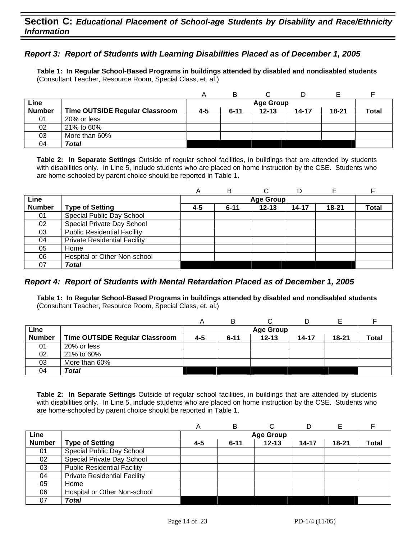# **Section C:** *Educational Placement of School-age Students by Disability and Race/Ethnicity Information*

### *Report 3: Report of Students with Learning Disabilities Placed as of December 1, 2005*

**Table 1: In Regular School-Based Programs in buildings attended by disabled and nondisabled students**  (Consultant Teacher, Resource Room, Special Class, et. al.)

|               |                                       | $\overline{ }$ | в        |                  |           | F     |              |
|---------------|---------------------------------------|----------------|----------|------------------|-----------|-------|--------------|
| Line          |                                       |                |          | <b>Age Group</b> |           |       |              |
| <b>Number</b> | <b>Time OUTSIDE Regular Classroom</b> | 4-5            | $6 - 11$ | $12 - 13$        | $14 - 17$ | 18-21 | <b>Total</b> |
| 01            | 20% or less                           |                |          |                  |           |       |              |
| 02            | 21% to 60%                            |                |          |                  |           |       |              |
| 03            | More than 60%                         |                |          |                  |           |       |              |
| 04            | Total                                 |                |          |                  |           |       |              |

**Table 2: In Separate Settings** Outside of regular school facilities, in buildings that are attended by students with disabilities only. In Line 5, include students who are placed on home instruction by the CSE. Students who are home-schooled by parent choice should be reported in Table 1.

|               |                                     | A   | в        |                  | D     |           |              |
|---------------|-------------------------------------|-----|----------|------------------|-------|-----------|--------------|
| Line          |                                     |     |          | <b>Age Group</b> |       |           |              |
| <b>Number</b> | <b>Type of Setting</b>              | 4-5 | $6 - 11$ | $12 - 13$        | 14-17 | $18 - 21$ | <b>Total</b> |
| 01            | Special Public Day School           |     |          |                  |       |           |              |
| 02            | Special Private Day School          |     |          |                  |       |           |              |
| 03            | <b>Public Residential Facility</b>  |     |          |                  |       |           |              |
| 04            | <b>Private Residential Facility</b> |     |          |                  |       |           |              |
| 05            | Home                                |     |          |                  |       |           |              |
| 06            | Hospital or Other Non-school        |     |          |                  |       |           |              |
| 07            | Total                               |     |          |                  |       |           |              |

#### *Report 4: Report of Students with Mental Retardation Placed as of December 1, 2005*

**Table 1: In Regular School-Based Programs in buildings attended by disabled and nondisabled students**  (Consultant Teacher, Resource Room, Special Class, et. al.)

|               |                                       | Α   | B        |                  |       |       |       |
|---------------|---------------------------------------|-----|----------|------------------|-------|-------|-------|
| Line          |                                       |     |          | <b>Age Group</b> |       |       |       |
| <b>Number</b> | <b>Time OUTSIDE Regular Classroom</b> | 4-5 | $6 - 11$ | $12 - 13$        | 14-17 | 18-21 | Total |
| 01            | 20% or less                           |     |          |                  |       |       |       |
| 02            | 21% to 60%                            |     |          |                  |       |       |       |
| 03            | More than 60%                         |     |          |                  |       |       |       |
| 04            | Total                                 |     |          |                  |       |       |       |

|               |                                     | А   | B        | ⌒                |           |           |              |
|---------------|-------------------------------------|-----|----------|------------------|-----------|-----------|--------------|
| Line          |                                     |     |          | <b>Age Group</b> |           |           |              |
| <b>Number</b> | <b>Type of Setting</b>              | 4-5 | $6 - 11$ | $12 - 13$        | $14 - 17$ | $18 - 21$ | <b>Total</b> |
| 01            | Special Public Day School           |     |          |                  |           |           |              |
| 02            | Special Private Day School          |     |          |                  |           |           |              |
| 03            | <b>Public Residential Facility</b>  |     |          |                  |           |           |              |
| 04            | <b>Private Residential Facility</b> |     |          |                  |           |           |              |
| 05            | Home                                |     |          |                  |           |           |              |
| 06            | Hospital or Other Non-school        |     |          |                  |           |           |              |
| 07            | Total                               |     |          |                  |           |           |              |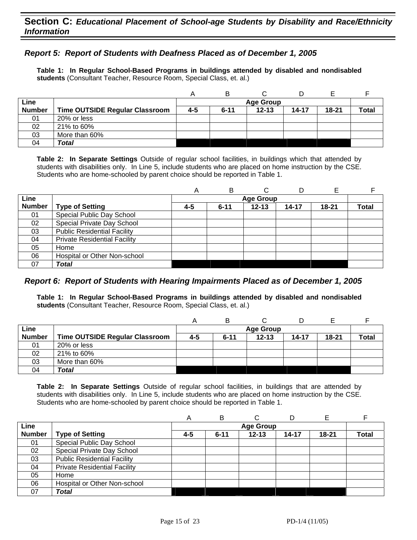### *Report 5: Report of Students with Deafness Placed as of December 1, 2005*

**Table 1: In Regular School-Based Programs in buildings attended by disabled and nondisabled students** (Consultant Teacher, Resource Room, Special Class, et. al.)

|               |                                       | Α       | в                |           |       |           |              |  |  |
|---------------|---------------------------------------|---------|------------------|-----------|-------|-----------|--------------|--|--|
| Line          |                                       |         | <b>Age Group</b> |           |       |           |              |  |  |
| <b>Number</b> | <b>Time OUTSIDE Regular Classroom</b> | $4 - 5$ | $6 - 11$         | $12 - 13$ | 14-17 | $18 - 21$ | <b>Total</b> |  |  |
| 01            | 20% or less                           |         |                  |           |       |           |              |  |  |
| 02            | 21% to 60%                            |         |                  |           |       |           |              |  |  |
| 03            | More than 60%                         |         |                  |           |       |           |              |  |  |
| 04            | <b>Total</b>                          |         |                  |           |       |           |              |  |  |

**Table 2: In Separate Settings** Outside of regular school facilities, in buildings which that attended by students with disabilities only. In Line 5, include students who are placed on home instruction by the CSE. Students who are home-schooled by parent choice should be reported in Table 1.

|               |                                     | A   | в        |                  |           |           |       |
|---------------|-------------------------------------|-----|----------|------------------|-----------|-----------|-------|
| Line          |                                     |     |          | <b>Age Group</b> |           |           |       |
| <b>Number</b> | <b>Type of Setting</b>              | 4-5 | $6 - 11$ | $12 - 13$        | $14 - 17$ | $18 - 21$ | Total |
| 01            | Special Public Day School           |     |          |                  |           |           |       |
| 02            | Special Private Day School          |     |          |                  |           |           |       |
| 03            | <b>Public Residential Facility</b>  |     |          |                  |           |           |       |
| 04            | <b>Private Residential Facility</b> |     |          |                  |           |           |       |
| 05            | Home                                |     |          |                  |           |           |       |
| 06            | Hospital or Other Non-school        |     |          |                  |           |           |       |
| 07            | Total                               |     |          |                  |           |           |       |

#### *Report 6: Report of Students with Hearing Impairments Placed as of December 1, 2005*

**Table 1: In Regular School-Based Programs in buildings attended by disabled and nondisabled students** (Consultant Teacher, Resource Room, Special Class, et. al.)

|               |                                       | A   |          |                  |           |           |              |
|---------------|---------------------------------------|-----|----------|------------------|-----------|-----------|--------------|
| Line          |                                       |     |          | <b>Age Group</b> |           |           |              |
| <b>Number</b> | <b>Time OUTSIDE Regular Classroom</b> | 4-5 | $6 - 11$ | $12 - 13$        | $14 - 17$ | $18 - 21$ | <b>Total</b> |
| 01            | 20% or less                           |     |          |                  |           |           |              |
| 02            | 21% to 60%                            |     |          |                  |           |           |              |
| 03            | More than 60%                         |     |          |                  |           |           |              |
| 04            | Total                                 |     |          |                  |           |           |              |

|               |                                     | A   | B        |                  |       |           |              |
|---------------|-------------------------------------|-----|----------|------------------|-------|-----------|--------------|
| Line          |                                     |     |          | <b>Age Group</b> |       |           |              |
| <b>Number</b> | <b>Type of Setting</b>              | 4-5 | $6 - 11$ | $12 - 13$        | 14-17 | $18 - 21$ | <b>Total</b> |
| 01            | Special Public Day School           |     |          |                  |       |           |              |
| 02            | Special Private Day School          |     |          |                  |       |           |              |
| 03            | <b>Public Residential Facility</b>  |     |          |                  |       |           |              |
| 04            | <b>Private Residential Facility</b> |     |          |                  |       |           |              |
| 05            | Home                                |     |          |                  |       |           |              |
| 06            | Hospital or Other Non-school        |     |          |                  |       |           |              |
| 07            | Total                               |     |          |                  |       |           |              |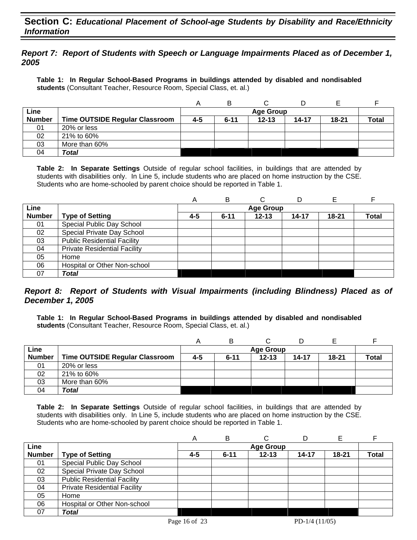# **Section C:** *Educational Placement of School-age Students by Disability and Race/Ethnicity Information*

### *Report 7: Report of Students with Speech or Language Impairments Placed as of December 1, 2005*

**Table 1: In Regular School-Based Programs in buildings attended by disabled and nondisabled students** (Consultant Teacher, Resource Room, Special Class, et. al.)

|               |                                       |     | в        |                  |       |           |              |
|---------------|---------------------------------------|-----|----------|------------------|-------|-----------|--------------|
| Line          |                                       |     |          | <b>Age Group</b> |       |           |              |
| <b>Number</b> | <b>Time OUTSIDE Regular Classroom</b> | 4-5 | $6 - 11$ | $12 - 13$        | 14-17 | $18 - 21$ | <b>Total</b> |
| 01            | 20% or less                           |     |          |                  |       |           |              |
| 02            | 21% to 60%                            |     |          |                  |       |           |              |
| 03            | More than 60%                         |     |          |                  |       |           |              |
| 04            | Total                                 |     |          |                  |       |           |              |

**Table 2: In Separate Settings** Outside of regular school facilities, in buildings that are attended by students with disabilities only. In Line 5, include students who are placed on home instruction by the CSE. Students who are home-schooled by parent choice should be reported in Table 1.

|               |                                     | Α   | в        | С                |           |           |              |
|---------------|-------------------------------------|-----|----------|------------------|-----------|-----------|--------------|
| Line          |                                     |     |          | <b>Age Group</b> |           |           |              |
| <b>Number</b> | <b>Type of Setting</b>              | 4-5 | $6 - 11$ | $12 - 13$        | $14 - 17$ | $18 - 21$ | <b>Total</b> |
| 01            | Special Public Day School           |     |          |                  |           |           |              |
| 02            | Special Private Day School          |     |          |                  |           |           |              |
| 03            | <b>Public Residential Facility</b>  |     |          |                  |           |           |              |
| 04            | <b>Private Residential Facility</b> |     |          |                  |           |           |              |
| 05            | Home                                |     |          |                  |           |           |              |
| 06            | Hospital or Other Non-school        |     |          |                  |           |           |              |
| 07            | <b>Total</b>                        |     |          |                  |           |           |              |

### *Report 8: Report of Students with Visual Impairments (including Blindness) Placed as of December 1, 2005*

**Table 1: In Regular School-Based Programs in buildings attended by disabled and nondisabled students** (Consultant Teacher, Resource Room, Special Class, et. al.)

|               |                                       |     | в        |                  |           |           |              |
|---------------|---------------------------------------|-----|----------|------------------|-----------|-----------|--------------|
| Line          |                                       |     |          | <b>Age Group</b> |           |           |              |
| <b>Number</b> | <b>Time OUTSIDE Regular Classroom</b> | 4-5 | $6 - 11$ | $12 - 13$        | $14 - 17$ | $18 - 21$ | <b>Total</b> |
| 01            | 20% or less                           |     |          |                  |           |           |              |
| 02            | 21% to 60%                            |     |          |                  |           |           |              |
| 03            | More than 60%                         |     |          |                  |           |           |              |
| 04            | Total                                 |     |          |                  |           |           |              |

|               |                                     | Α   | в        |                  |       |       |              |
|---------------|-------------------------------------|-----|----------|------------------|-------|-------|--------------|
| Line          |                                     |     |          | <b>Age Group</b> |       |       |              |
| <b>Number</b> | <b>Type of Setting</b>              | 4-5 | $6 - 11$ | $12 - 13$        | 14-17 | 18-21 | <b>Total</b> |
| 01            | Special Public Day School           |     |          |                  |       |       |              |
| 02            | Special Private Day School          |     |          |                  |       |       |              |
| 03            | <b>Public Residential Facility</b>  |     |          |                  |       |       |              |
| 04            | <b>Private Residential Facility</b> |     |          |                  |       |       |              |
| 05            | Home                                |     |          |                  |       |       |              |
| 06            | Hospital or Other Non-school        |     |          |                  |       |       |              |
| 07            | Total                               |     |          |                  |       |       |              |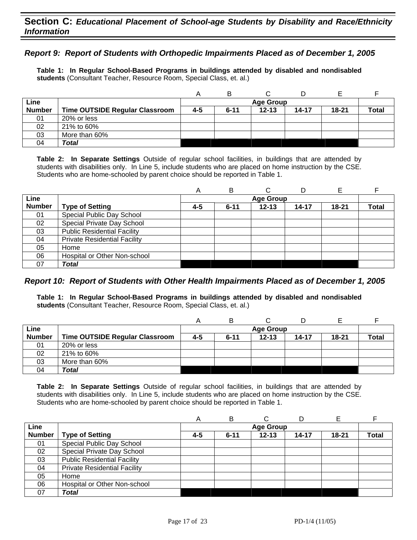### *Report 9: Report of Students with Orthopedic Impairments Placed as of December 1, 2005*

**Table 1: In Regular School-Based Programs in buildings attended by disabled and nondisabled students** (Consultant Teacher, Resource Room, Special Class, et. al.)

|               |                                |     | в        |                  |       |       |              |
|---------------|--------------------------------|-----|----------|------------------|-------|-------|--------------|
| Line          |                                |     |          | <b>Age Group</b> |       |       |              |
| <b>Number</b> | Time OUTSIDE Regular Classroom | 4-5 | $6 - 11$ | $12 - 13$        | 14-17 | 18-21 | <b>Total</b> |
| 01            | 20% or less                    |     |          |                  |       |       |              |
| 02            | 21% to 60%                     |     |          |                  |       |       |              |
| 03            | More than 60%                  |     |          |                  |       |       |              |
| 04            | Total                          |     |          |                  |       |       |              |

**Table 2: In Separate Settings** Outside of regular school facilities, in buildings that are attended by students with disabilities only. In Line 5, include students who are placed on home instruction by the CSE. Students who are home-schooled by parent choice should be reported in Table 1.

|               |                                     | A   | в        | C                | D     |           |              |
|---------------|-------------------------------------|-----|----------|------------------|-------|-----------|--------------|
| Line          |                                     |     |          | <b>Age Group</b> |       |           |              |
| <b>Number</b> | <b>Type of Setting</b>              | 4-5 | $6 - 11$ | $12 - 13$        | 14-17 | $18 - 21$ | <b>Total</b> |
| 01            | Special Public Day School           |     |          |                  |       |           |              |
| 02            | Special Private Day School          |     |          |                  |       |           |              |
| 03            | <b>Public Residential Facility</b>  |     |          |                  |       |           |              |
| 04            | <b>Private Residential Facility</b> |     |          |                  |       |           |              |
| 05            | Home                                |     |          |                  |       |           |              |
| 06            | Hospital or Other Non-school        |     |          |                  |       |           |              |
| 07            | Total                               |     |          |                  |       |           |              |

#### *Report 10: Report of Students with Other Health Impairments Placed as of December 1, 2005*

**Table 1: In Regular School-Based Programs in buildings attended by disabled and nondisabled students** (Consultant Teacher, Resource Room, Special Class, et. al.)

| Line          |                                       |     |          | <b>Age Group</b> |           |           |              |
|---------------|---------------------------------------|-----|----------|------------------|-----------|-----------|--------------|
| <b>Number</b> | <b>Time OUTSIDE Regular Classroom</b> | 4-5 | $6 - 11$ | $12 - 13$        | $14 - 17$ | $18 - 21$ | <b>Total</b> |
| 01            | 20% or less                           |     |          |                  |           |           |              |
| 02            | 21% to 60%                            |     |          |                  |           |           |              |
| 03            | More than 60%                         |     |          |                  |           |           |              |
| 04            | Total                                 |     |          |                  |           |           |              |

|               |                                     | A       | в        |                  |       |           |       |
|---------------|-------------------------------------|---------|----------|------------------|-------|-----------|-------|
| Line          |                                     |         |          | <b>Age Group</b> |       |           |       |
| <b>Number</b> | <b>Type of Setting</b>              | $4 - 5$ | $6 - 11$ | $12 - 13$        | 14-17 | $18 - 21$ | Total |
| 01            | Special Public Day School           |         |          |                  |       |           |       |
| 02            | Special Private Day School          |         |          |                  |       |           |       |
| 03            | <b>Public Residential Facility</b>  |         |          |                  |       |           |       |
| 04            | <b>Private Residential Facility</b> |         |          |                  |       |           |       |
| 05            | Home                                |         |          |                  |       |           |       |
| 06            | Hospital or Other Non-school        |         |          |                  |       |           |       |
| 07            | <b>Total</b>                        |         |          |                  |       |           |       |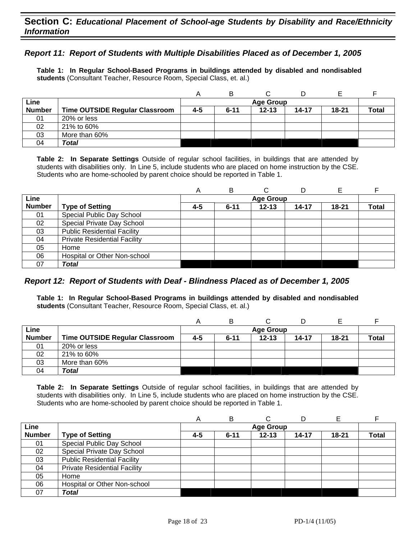### *Report 11: Report of Students with Multiple Disabilities Placed as of December 1, 2005*

**Table 1: In Regular School-Based Programs in buildings attended by disabled and nondisabled students** (Consultant Teacher, Resource Room, Special Class, et. al.)

|               |                                |     | в        |                  |           |           |              |
|---------------|--------------------------------|-----|----------|------------------|-----------|-----------|--------------|
| Line          |                                |     |          | <b>Age Group</b> |           |           |              |
| <b>Number</b> | Time OUTSIDE Regular Classroom | 4-5 | $6 - 11$ | $12 - 13$        | $14 - 17$ | $18 - 21$ | <b>Total</b> |
| 01            | 20% or less                    |     |          |                  |           |           |              |
| 02            | 21% to 60%                     |     |          |                  |           |           |              |
| 03            | More than 60%                  |     |          |                  |           |           |              |
| 04            | <b>Total</b>                   |     |          |                  |           |           |              |

**Table 2: In Separate Settings** Outside of regular school facilities, in buildings that are attended by students with disabilities only. In Line 5, include students who are placed on home instruction by the CSE. Students who are home-schooled by parent choice should be reported in Table 1.

|               |                                     | А   | В        |                  | D         |           |       |
|---------------|-------------------------------------|-----|----------|------------------|-----------|-----------|-------|
| Line          |                                     |     |          | <b>Age Group</b> |           |           |       |
| <b>Number</b> | <b>Type of Setting</b>              | 4-5 | $6 - 11$ | $12 - 13$        | $14 - 17$ | $18 - 21$ | Total |
| 01            | Special Public Day School           |     |          |                  |           |           |       |
| 02            | Special Private Day School          |     |          |                  |           |           |       |
| 03            | <b>Public Residential Facility</b>  |     |          |                  |           |           |       |
| 04            | <b>Private Residential Facility</b> |     |          |                  |           |           |       |
| 05            | Home                                |     |          |                  |           |           |       |
| 06            | Hospital or Other Non-school        |     |          |                  |           |           |       |
| 07            | Total                               |     |          |                  |           |           |       |

# *Report 12: Report of Students with Deaf - Blindness Placed as of December 1, 2005*

**Table 1: In Regular School-Based Programs in buildings attended by disabled and nondisabled students** (Consultant Teacher, Resource Room, Special Class, et. al.)

|               |                                       |     | В        |                  |           |           |              |
|---------------|---------------------------------------|-----|----------|------------------|-----------|-----------|--------------|
| Line          |                                       |     |          | <b>Age Group</b> |           |           |              |
| <b>Number</b> | <b>Time OUTSIDE Regular Classroom</b> | 4-5 | $6 - 11$ | $12 - 13$        | $14 - 17$ | $18 - 21$ | <b>Total</b> |
| 01            | 20% or less                           |     |          |                  |           |           |              |
| 02            | 21% to 60%                            |     |          |                  |           |           |              |
| 03            | More than 60%                         |     |          |                  |           |           |              |
| 04            | Total                                 |     |          |                  |           |           |              |

|               |                                     | A       | В        | ◠                |           |           |              |
|---------------|-------------------------------------|---------|----------|------------------|-----------|-----------|--------------|
| Line          |                                     |         |          | <b>Age Group</b> |           |           |              |
| <b>Number</b> | <b>Type of Setting</b>              | $4 - 5$ | $6 - 11$ | $12 - 13$        | $14 - 17$ | $18 - 21$ | <b>Total</b> |
| 01            | Special Public Day School           |         |          |                  |           |           |              |
| 02            | Special Private Day School          |         |          |                  |           |           |              |
| 03            | <b>Public Residential Facility</b>  |         |          |                  |           |           |              |
| 04            | <b>Private Residential Facility</b> |         |          |                  |           |           |              |
| 05            | Home                                |         |          |                  |           |           |              |
| 06            | Hospital or Other Non-school        |         |          |                  |           |           |              |
| 07            | <b>Total</b>                        |         |          |                  |           |           |              |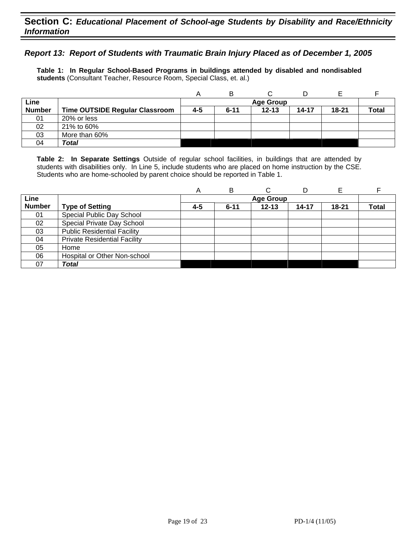### *Report 13: Report of Students with Traumatic Brain Injury Placed as of December 1, 2005*

**Table 1: In Regular School-Based Programs in buildings attended by disabled and nondisabled students** (Consultant Teacher, Resource Room, Special Class, et. al.)

|               |                                |     | в        |                  |           |       |              |
|---------------|--------------------------------|-----|----------|------------------|-----------|-------|--------------|
| Line          |                                |     |          | <b>Age Group</b> |           |       |              |
| <b>Number</b> | Time OUTSIDE Regular Classroom | 4-5 | $6 - 11$ | $12 - 13$        | $14 - 17$ | 18-21 | <b>Total</b> |
| 01            | 20% or less                    |     |          |                  |           |       |              |
| 02            | 21% to 60%                     |     |          |                  |           |       |              |
| 03            | More than 60%                  |     |          |                  |           |       |              |
| 04            | Total                          |     |          |                  |           |       |              |

|               |                                     | Α   | B        |                  | D     | E         |       |
|---------------|-------------------------------------|-----|----------|------------------|-------|-----------|-------|
| Line          |                                     |     |          | <b>Age Group</b> |       |           |       |
| <b>Number</b> | <b>Type of Setting</b>              | 4-5 | $6 - 11$ | $12 - 13$        | 14-17 | $18 - 21$ | Total |
| 01            | Special Public Day School           |     |          |                  |       |           |       |
| 02            | Special Private Day School          |     |          |                  |       |           |       |
| 03            | <b>Public Residential Facility</b>  |     |          |                  |       |           |       |
| 04            | <b>Private Residential Facility</b> |     |          |                  |       |           |       |
| 05            | Home                                |     |          |                  |       |           |       |
| 06            | Hospital or Other Non-school        |     |          |                  |       |           |       |
| 07            | Total                               |     |          |                  |       |           |       |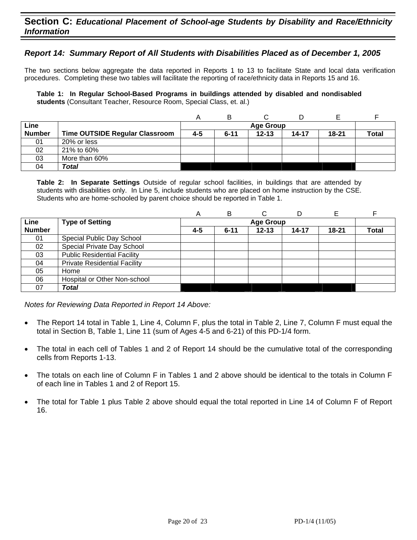# **Section C:** *Educational Placement of School-age Students by Disability and Race/Ethnicity Information*

### *Report 14: Summary Report of All Students with Disabilities Placed as of December 1, 2005*

The two sections below aggregate the data reported in Reports 1 to 13 to facilitate State and local data verification procedures. Completing these two tables will facilitate the reporting of race/ethnicity data in Reports 15 and 16.

**Table 1: In Regular School-Based Programs in buildings attended by disabled and nondisabled students** (Consultant Teacher, Resource Room, Special Class, et. al.)

|               |                                       |     | B                |           |           |           |              |  |  |  |
|---------------|---------------------------------------|-----|------------------|-----------|-----------|-----------|--------------|--|--|--|
| Line          |                                       |     | <b>Age Group</b> |           |           |           |              |  |  |  |
| <b>Number</b> | <b>Time OUTSIDE Regular Classroom</b> | 4-5 | $6 - 11$         | $12 - 13$ | $14 - 17$ | $18 - 21$ | <b>Total</b> |  |  |  |
| 01            | 20% or less                           |     |                  |           |           |           |              |  |  |  |
| 02            | 21% to 60%                            |     |                  |           |           |           |              |  |  |  |
| 03            | More than 60%                         |     |                  |           |           |           |              |  |  |  |
| 04            | Total                                 |     |                  |           |           |           |              |  |  |  |

**Table 2: In Separate Settings** Outside of regular school facilities, in buildings that are attended by students with disabilities only. In Line 5, include students who are placed on home instruction by the CSE. Students who are home-schooled by parent choice should be reported in Table 1.

|               |                                     | Α                | B        | С         | D     |       |              |  |  |  |
|---------------|-------------------------------------|------------------|----------|-----------|-------|-------|--------------|--|--|--|
| Line          | <b>Type of Setting</b>              | <b>Age Group</b> |          |           |       |       |              |  |  |  |
| <b>Number</b> |                                     | 4-5              | $6 - 11$ | $12 - 13$ | 14-17 | 18-21 | <b>Total</b> |  |  |  |
| 01            | Special Public Day School           |                  |          |           |       |       |              |  |  |  |
| 02            | Special Private Day School          |                  |          |           |       |       |              |  |  |  |
| 03            | <b>Public Residential Facility</b>  |                  |          |           |       |       |              |  |  |  |
| 04            | <b>Private Residential Facility</b> |                  |          |           |       |       |              |  |  |  |
| 05            | Home                                |                  |          |           |       |       |              |  |  |  |
| 06            | Hospital or Other Non-school        |                  |          |           |       |       |              |  |  |  |
| 07            | Total                               |                  |          |           |       |       |              |  |  |  |

*Notes for Reviewing Data Reported in Report 14 Above:* 

- The Report 14 total in Table 1, Line 4, Column F, plus the total in Table 2, Line 7, Column F must equal the total in Section B, Table 1, Line 11 (sum of Ages 4-5 and 6-21) of this PD-1/4 form.
- The total in each cell of Tables 1 and 2 of Report 14 should be the cumulative total of the corresponding cells from Reports 1-13.
- The totals on each line of Column F in Tables 1 and 2 above should be identical to the totals in Column F of each line in Tables 1 and 2 of Report 15.
- The total for Table 1 plus Table 2 above should equal the total reported in Line 14 of Column F of Report 16.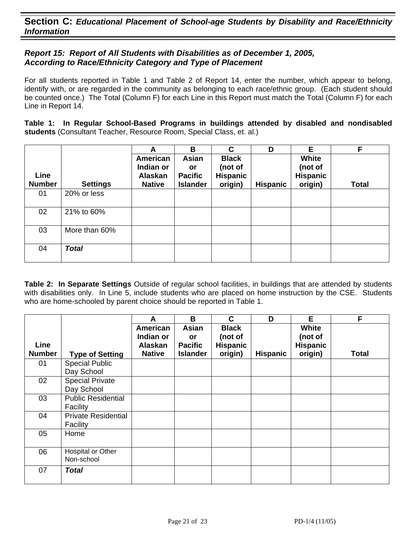# *Report 15: Report of All Students with Disabilities as of December 1, 2005, According to Race/Ethnicity Category and Type of Placement*

For all students reported in Table 1 and Table 2 of Report 14, enter the number, which appear to belong, identify with, or are regarded in the community as belonging to each race/ethnic group. (Each student should be counted once.) The Total (Column F) for each Line in this Report must match the Total (Column F) for each Line in Report 14.

**Table 1: In Regular School-Based Programs in buildings attended by disabled and nondisabled students** (Consultant Teacher, Resource Room, Special Class, et. al.)

|                       |                 | A                                                        | B                                                       | C                                                     | D               | Е                                              | F.           |
|-----------------------|-----------------|----------------------------------------------------------|---------------------------------------------------------|-------------------------------------------------------|-----------------|------------------------------------------------|--------------|
| Line<br><b>Number</b> | <b>Settings</b> | American<br>Indian or<br><b>Alaskan</b><br><b>Native</b> | Asian<br><b>or</b><br><b>Pacific</b><br><b>Islander</b> | <b>Black</b><br>(not of<br><b>Hispanic</b><br>origin) | <b>Hispanic</b> | White<br>(not of<br><b>Hispanic</b><br>origin) | <b>Total</b> |
| 01                    | 20% or less     |                                                          |                                                         |                                                       |                 |                                                |              |
| 02                    | 21% to 60%      |                                                          |                                                         |                                                       |                 |                                                |              |
| 03                    | More than 60%   |                                                          |                                                         |                                                       |                 |                                                |              |
| 04                    | <b>Total</b>    |                                                          |                                                         |                                                       |                 |                                                |              |

|                       |                                                 | A                                                 | B                                                       | C                                              | D               | Е                                              | F            |
|-----------------------|-------------------------------------------------|---------------------------------------------------|---------------------------------------------------------|------------------------------------------------|-----------------|------------------------------------------------|--------------|
| Line<br><b>Number</b> |                                                 | American<br>Indian or<br>Alaskan<br><b>Native</b> | <b>Asian</b><br>or<br><b>Pacific</b><br><b>Islander</b> | <b>Black</b><br>(not of<br>Hispanic<br>origin) | <b>Hispanic</b> | White<br>(not of<br><b>Hispanic</b><br>origin) | <b>Total</b> |
| 01                    | <b>Type of Setting</b><br><b>Special Public</b> |                                                   |                                                         |                                                |                 |                                                |              |
|                       | Day School                                      |                                                   |                                                         |                                                |                 |                                                |              |
| 02                    | <b>Special Private</b><br>Day School            |                                                   |                                                         |                                                |                 |                                                |              |
| 03                    | <b>Public Residential</b><br>Facility           |                                                   |                                                         |                                                |                 |                                                |              |
| 04                    | <b>Private Residential</b><br>Facility          |                                                   |                                                         |                                                |                 |                                                |              |
| 05                    | Home                                            |                                                   |                                                         |                                                |                 |                                                |              |
| 06                    | Hospital or Other<br>Non-school                 |                                                   |                                                         |                                                |                 |                                                |              |
| 07                    | <b>Total</b>                                    |                                                   |                                                         |                                                |                 |                                                |              |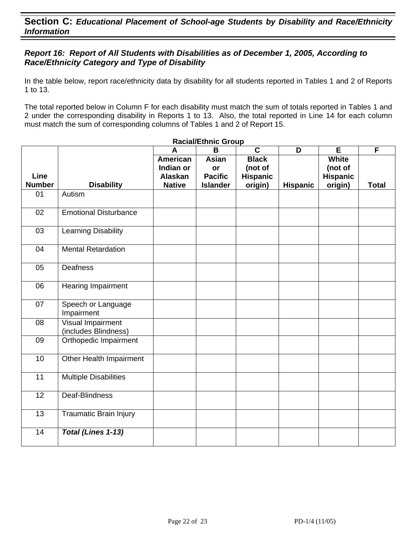# *Report 16: Report of All Students with Disabilities as of December 1, 2005, According to Race/Ethnicity Category and Type of Disability*

In the table below, report race/ethnicity data by disability for all students reported in Tables 1 and 2 of Reports 1 to 13.

The total reported below in Column F for each disability must match the sum of totals reported in Tables 1 and 2 under the corresponding disability in Reports 1 to 13. Also, the total reported in Line 14 for each column must match the sum of corresponding columns of Tables 1 and 2 of Report 15.

|                       |                                           | A                                                        | <b>Racial/Ethnic Group</b><br>B                         | $\overline{\mathbf{c}}$                               | D               | E                                                     | F            |
|-----------------------|-------------------------------------------|----------------------------------------------------------|---------------------------------------------------------|-------------------------------------------------------|-----------------|-------------------------------------------------------|--------------|
| Line<br><b>Number</b> | <b>Disability</b>                         | <b>American</b><br>Indian or<br>Alaskan<br><b>Native</b> | <b>Asian</b><br>or<br><b>Pacific</b><br><b>Islander</b> | <b>Black</b><br>(not of<br><b>Hispanic</b><br>origin) | <b>Hispanic</b> | <b>White</b><br>(not of<br><b>Hispanic</b><br>origin) | <b>Total</b> |
| 01                    | Autism                                    |                                                          |                                                         |                                                       |                 |                                                       |              |
| 02                    | <b>Emotional Disturbance</b>              |                                                          |                                                         |                                                       |                 |                                                       |              |
| 03                    | Learning Disability                       |                                                          |                                                         |                                                       |                 |                                                       |              |
| 04                    | <b>Mental Retardation</b>                 |                                                          |                                                         |                                                       |                 |                                                       |              |
| 05                    | <b>Deafness</b>                           |                                                          |                                                         |                                                       |                 |                                                       |              |
| 06                    | <b>Hearing Impairment</b>                 |                                                          |                                                         |                                                       |                 |                                                       |              |
| 07                    | Speech or Language<br>Impairment          |                                                          |                                                         |                                                       |                 |                                                       |              |
| 08                    | Visual Impairment<br>(includes Blindness) |                                                          |                                                         |                                                       |                 |                                                       |              |
| 09                    | Orthopedic Impairment                     |                                                          |                                                         |                                                       |                 |                                                       |              |
| 10                    | Other Health Impairment                   |                                                          |                                                         |                                                       |                 |                                                       |              |
| 11                    | <b>Multiple Disabilities</b>              |                                                          |                                                         |                                                       |                 |                                                       |              |
| $\overline{12}$       | Deaf-Blindness                            |                                                          |                                                         |                                                       |                 |                                                       |              |
| 13                    | <b>Traumatic Brain Injury</b>             |                                                          |                                                         |                                                       |                 |                                                       |              |
| 14                    | Total (Lines 1-13)                        |                                                          |                                                         |                                                       |                 |                                                       |              |